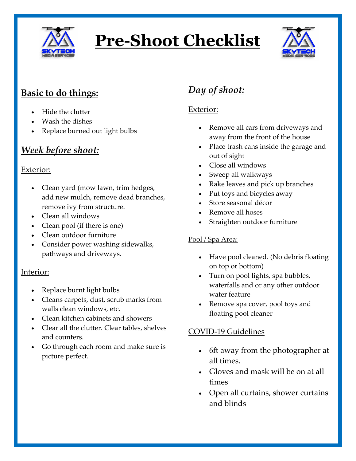

# **Pre-Shoot Checklist**



# **Basic to do things:**

- Hide the clutter
- Wash the dishes
- Replace burned out light bulbs

# *Week before shoot:*

#### Exterior:

- Clean yard (mow lawn, trim hedges, add new mulch, remove dead branches, remove ivy from structure.
- Clean all windows
- Clean pool (if there is one)
- Clean outdoor furniture
- Consider power washing sidewalks, pathways and driveways.

#### Interior:

- Replace burnt light bulbs
- Cleans carpets, dust, scrub marks from walls clean windows, etc.
- Clean kitchen cabinets and showers
- Clear all the clutter. Clear tables, shelves and counters.
- Go through each room and make sure is picture perfect.

# *Day of shoot:*

## Exterior:

- Remove all cars from driveways and away from the front of the house
- Place trash cans inside the garage and out of sight
- Close all windows
- Sweep all walkways
- Rake leaves and pick up branches
- Put toys and bicycles away
- Store seasonal décor
- Remove all hoses
- Straighten outdoor furniture

### Pool / Spa Area:

- Have pool cleaned. (No debris floating on top or bottom)
- Turn on pool lights, spa bubbles, waterfalls and or any other outdoor water feature
- Remove spa cover, pool toys and floating pool cleaner

### COVID-19 Guidelines

- 6ft away from the photographer at all times.
- Gloves and mask will be on at all times
- Open all curtains, shower curtains and blinds